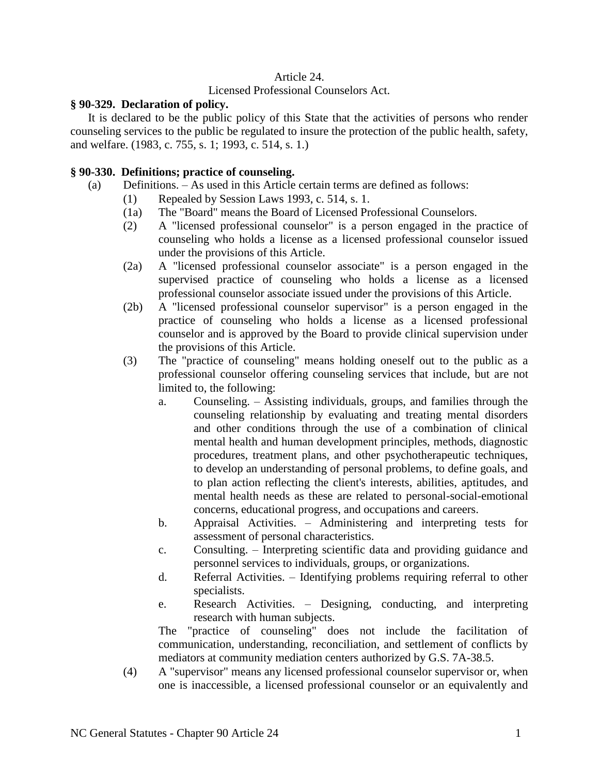## Article 24.

### Licensed Professional Counselors Act.

#### **§ 90-329. Declaration of policy.**

It is declared to be the public policy of this State that the activities of persons who render counseling services to the public be regulated to insure the protection of the public health, safety, and welfare. (1983, c. 755, s. 1; 1993, c. 514, s. 1.)

# **§ 90-330. Definitions; practice of counseling.**

- (a) Definitions. As used in this Article certain terms are defined as follows:
	- (1) Repealed by Session Laws 1993, c. 514, s. 1.
	- (1a) The "Board" means the Board of Licensed Professional Counselors.
	- (2) A "licensed professional counselor" is a person engaged in the practice of counseling who holds a license as a licensed professional counselor issued under the provisions of this Article.
	- (2a) A "licensed professional counselor associate" is a person engaged in the supervised practice of counseling who holds a license as a licensed professional counselor associate issued under the provisions of this Article.
	- (2b) A "licensed professional counselor supervisor" is a person engaged in the practice of counseling who holds a license as a licensed professional counselor and is approved by the Board to provide clinical supervision under the provisions of this Article.
	- (3) The "practice of counseling" means holding oneself out to the public as a professional counselor offering counseling services that include, but are not limited to, the following:
		- a. Counseling. Assisting individuals, groups, and families through the counseling relationship by evaluating and treating mental disorders and other conditions through the use of a combination of clinical mental health and human development principles, methods, diagnostic procedures, treatment plans, and other psychotherapeutic techniques, to develop an understanding of personal problems, to define goals, and to plan action reflecting the client's interests, abilities, aptitudes, and mental health needs as these are related to personal-social-emotional concerns, educational progress, and occupations and careers.
		- b. Appraisal Activities. Administering and interpreting tests for assessment of personal characteristics.
		- c. Consulting. Interpreting scientific data and providing guidance and personnel services to individuals, groups, or organizations.
		- d. Referral Activities. Identifying problems requiring referral to other specialists.
		- e. Research Activities. Designing, conducting, and interpreting research with human subjects.

The "practice of counseling" does not include the facilitation of communication, understanding, reconciliation, and settlement of conflicts by mediators at community mediation centers authorized by G.S. 7A-38.5.

(4) A "supervisor" means any licensed professional counselor supervisor or, when one is inaccessible, a licensed professional counselor or an equivalently and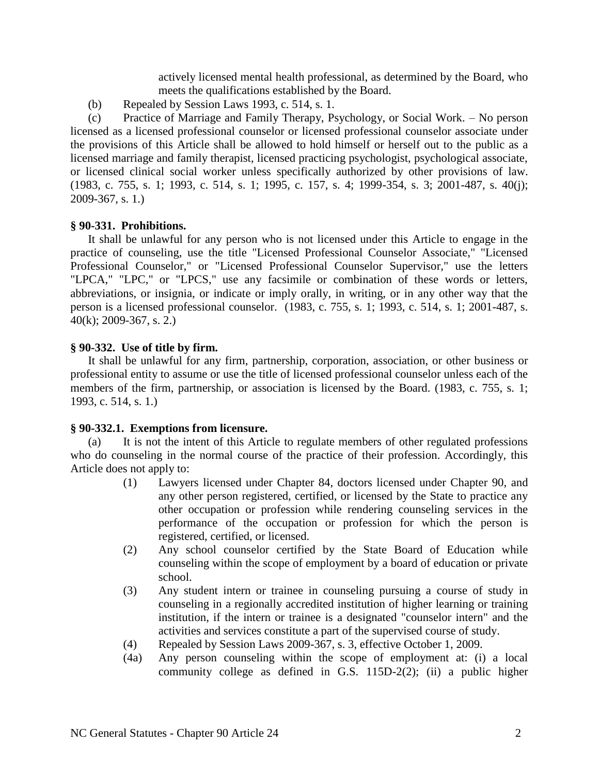actively licensed mental health professional, as determined by the Board, who meets the qualifications established by the Board.

(b) Repealed by Session Laws 1993, c. 514, s. 1.

(c) Practice of Marriage and Family Therapy, Psychology, or Social Work. – No person licensed as a licensed professional counselor or licensed professional counselor associate under the provisions of this Article shall be allowed to hold himself or herself out to the public as a licensed marriage and family therapist, licensed practicing psychologist, psychological associate, or licensed clinical social worker unless specifically authorized by other provisions of law. (1983, c. 755, s. 1; 1993, c. 514, s. 1; 1995, c. 157, s. 4; 1999-354, s. 3; 2001-487, s. 40(j); 2009-367, s. 1.)

# **§ 90-331. Prohibitions.**

It shall be unlawful for any person who is not licensed under this Article to engage in the practice of counseling, use the title "Licensed Professional Counselor Associate," "Licensed Professional Counselor," or "Licensed Professional Counselor Supervisor," use the letters "LPCA," "LPC," or "LPCS," use any facsimile or combination of these words or letters, abbreviations, or insignia, or indicate or imply orally, in writing, or in any other way that the person is a licensed professional counselor. (1983, c. 755, s. 1; 1993, c. 514, s. 1; 2001-487, s. 40(k); 2009-367, s. 2.)

# **§ 90-332. Use of title by firm.**

It shall be unlawful for any firm, partnership, corporation, association, or other business or professional entity to assume or use the title of licensed professional counselor unless each of the members of the firm, partnership, or association is licensed by the Board. (1983, c. 755, s. 1; 1993, c. 514, s. 1.)

## **§ 90-332.1. Exemptions from licensure.**

(a) It is not the intent of this Article to regulate members of other regulated professions who do counseling in the normal course of the practice of their profession. Accordingly, this Article does not apply to:

- (1) Lawyers licensed under Chapter 84, doctors licensed under Chapter 90, and any other person registered, certified, or licensed by the State to practice any other occupation or profession while rendering counseling services in the performance of the occupation or profession for which the person is registered, certified, or licensed.
- (2) Any school counselor certified by the State Board of Education while counseling within the scope of employment by a board of education or private school.
- (3) Any student intern or trainee in counseling pursuing a course of study in counseling in a regionally accredited institution of higher learning or training institution, if the intern or trainee is a designated "counselor intern" and the activities and services constitute a part of the supervised course of study.
- (4) Repealed by Session Laws 2009-367, s. 3, effective October 1, 2009.
- (4a) Any person counseling within the scope of employment at: (i) a local community college as defined in G.S. 115D-2(2); (ii) a public higher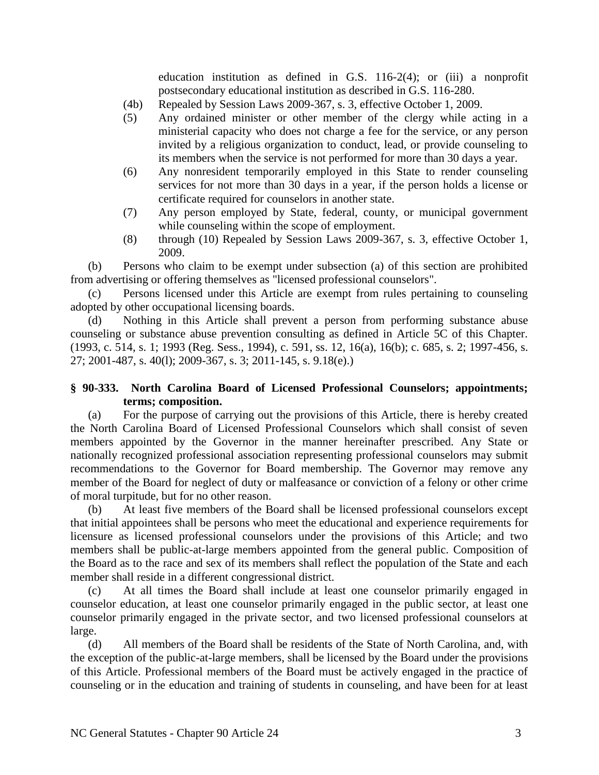education institution as defined in G.S. 116-2(4); or (iii) a nonprofit postsecondary educational institution as described in G.S. 116-280.

- (4b) Repealed by Session Laws 2009-367, s. 3, effective October 1, 2009.
- (5) Any ordained minister or other member of the clergy while acting in a ministerial capacity who does not charge a fee for the service, or any person invited by a religious organization to conduct, lead, or provide counseling to its members when the service is not performed for more than 30 days a year.
- (6) Any nonresident temporarily employed in this State to render counseling services for not more than 30 days in a year, if the person holds a license or certificate required for counselors in another state.
- (7) Any person employed by State, federal, county, or municipal government while counseling within the scope of employment.
- (8) through (10) Repealed by Session Laws 2009-367, s. 3, effective October 1, 2009.

(b) Persons who claim to be exempt under subsection (a) of this section are prohibited from advertising or offering themselves as "licensed professional counselors".

(c) Persons licensed under this Article are exempt from rules pertaining to counseling adopted by other occupational licensing boards.

(d) Nothing in this Article shall prevent a person from performing substance abuse counseling or substance abuse prevention consulting as defined in Article 5C of this Chapter. (1993, c. 514, s. 1; 1993 (Reg. Sess., 1994), c. 591, ss. 12, 16(a), 16(b); c. 685, s. 2; 1997-456, s. 27; 2001-487, s. 40(l); 2009-367, s. 3; 2011-145, s. 9.18(e).)

# **§ 90-333. North Carolina Board of Licensed Professional Counselors; appointments; terms; composition.**

(a) For the purpose of carrying out the provisions of this Article, there is hereby created the North Carolina Board of Licensed Professional Counselors which shall consist of seven members appointed by the Governor in the manner hereinafter prescribed. Any State or nationally recognized professional association representing professional counselors may submit recommendations to the Governor for Board membership. The Governor may remove any member of the Board for neglect of duty or malfeasance or conviction of a felony or other crime of moral turpitude, but for no other reason.

(b) At least five members of the Board shall be licensed professional counselors except that initial appointees shall be persons who meet the educational and experience requirements for licensure as licensed professional counselors under the provisions of this Article; and two members shall be public-at-large members appointed from the general public. Composition of the Board as to the race and sex of its members shall reflect the population of the State and each member shall reside in a different congressional district.

(c) At all times the Board shall include at least one counselor primarily engaged in counselor education, at least one counselor primarily engaged in the public sector, at least one counselor primarily engaged in the private sector, and two licensed professional counselors at large.

(d) All members of the Board shall be residents of the State of North Carolina, and, with the exception of the public-at-large members, shall be licensed by the Board under the provisions of this Article. Professional members of the Board must be actively engaged in the practice of counseling or in the education and training of students in counseling, and have been for at least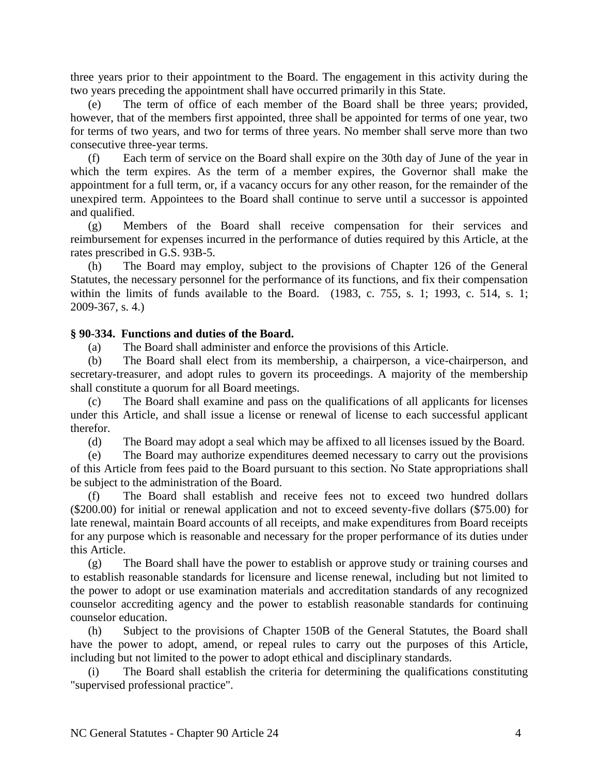three years prior to their appointment to the Board. The engagement in this activity during the two years preceding the appointment shall have occurred primarily in this State.

(e) The term of office of each member of the Board shall be three years; provided, however, that of the members first appointed, three shall be appointed for terms of one year, two for terms of two years, and two for terms of three years. No member shall serve more than two consecutive three-year terms.

(f) Each term of service on the Board shall expire on the 30th day of June of the year in which the term expires. As the term of a member expires, the Governor shall make the appointment for a full term, or, if a vacancy occurs for any other reason, for the remainder of the unexpired term. Appointees to the Board shall continue to serve until a successor is appointed and qualified.

(g) Members of the Board shall receive compensation for their services and reimbursement for expenses incurred in the performance of duties required by this Article, at the rates prescribed in G.S. 93B-5.

(h) The Board may employ, subject to the provisions of Chapter 126 of the General Statutes, the necessary personnel for the performance of its functions, and fix their compensation within the limits of funds available to the Board. (1983, c. 755, s. 1; 1993, c. 514, s. 1; 2009-367, s. 4.)

## **§ 90-334. Functions and duties of the Board.**

(a) The Board shall administer and enforce the provisions of this Article.

(b) The Board shall elect from its membership, a chairperson, a vice-chairperson, and secretary-treasurer, and adopt rules to govern its proceedings. A majority of the membership shall constitute a quorum for all Board meetings.

(c) The Board shall examine and pass on the qualifications of all applicants for licenses under this Article, and shall issue a license or renewal of license to each successful applicant therefor.

(d) The Board may adopt a seal which may be affixed to all licenses issued by the Board.

(e) The Board may authorize expenditures deemed necessary to carry out the provisions of this Article from fees paid to the Board pursuant to this section. No State appropriations shall be subject to the administration of the Board.

(f) The Board shall establish and receive fees not to exceed two hundred dollars (\$200.00) for initial or renewal application and not to exceed seventy-five dollars (\$75.00) for late renewal, maintain Board accounts of all receipts, and make expenditures from Board receipts for any purpose which is reasonable and necessary for the proper performance of its duties under this Article.

(g) The Board shall have the power to establish or approve study or training courses and to establish reasonable standards for licensure and license renewal, including but not limited to the power to adopt or use examination materials and accreditation standards of any recognized counselor accrediting agency and the power to establish reasonable standards for continuing counselor education.

(h) Subject to the provisions of Chapter 150B of the General Statutes, the Board shall have the power to adopt, amend, or repeal rules to carry out the purposes of this Article, including but not limited to the power to adopt ethical and disciplinary standards.

(i) The Board shall establish the criteria for determining the qualifications constituting "supervised professional practice".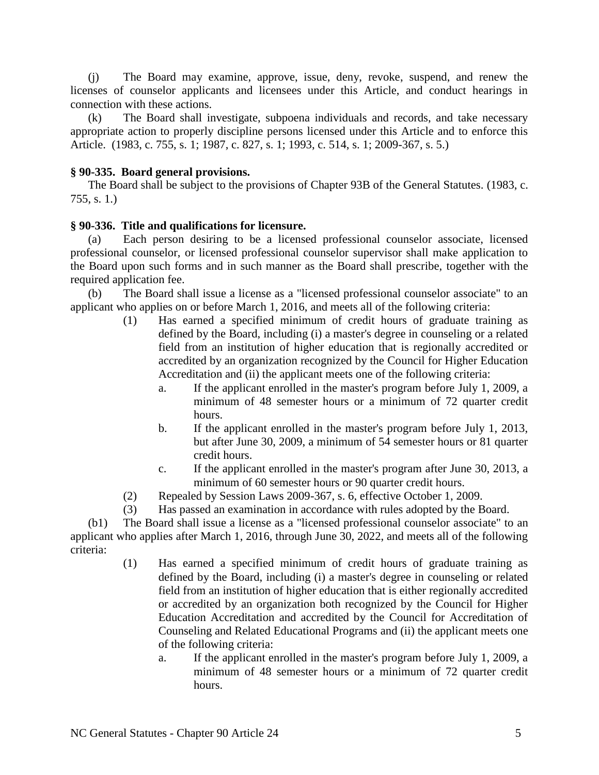(j) The Board may examine, approve, issue, deny, revoke, suspend, and renew the licenses of counselor applicants and licensees under this Article, and conduct hearings in connection with these actions.

(k) The Board shall investigate, subpoena individuals and records, and take necessary appropriate action to properly discipline persons licensed under this Article and to enforce this Article. (1983, c. 755, s. 1; 1987, c. 827, s. 1; 1993, c. 514, s. 1; 2009-367, s. 5.)

#### **§ 90-335. Board general provisions.**

The Board shall be subject to the provisions of Chapter 93B of the General Statutes. (1983, c. 755, s. 1.)

#### **§ 90-336. Title and qualifications for licensure.**

(a) Each person desiring to be a licensed professional counselor associate, licensed professional counselor, or licensed professional counselor supervisor shall make application to the Board upon such forms and in such manner as the Board shall prescribe, together with the required application fee.

(b) The Board shall issue a license as a "licensed professional counselor associate" to an applicant who applies on or before March 1, 2016, and meets all of the following criteria:

- (1) Has earned a specified minimum of credit hours of graduate training as defined by the Board, including (i) a master's degree in counseling or a related field from an institution of higher education that is regionally accredited or accredited by an organization recognized by the Council for Higher Education Accreditation and (ii) the applicant meets one of the following criteria:
	- a. If the applicant enrolled in the master's program before July 1, 2009, a minimum of 48 semester hours or a minimum of 72 quarter credit hours.
	- b. If the applicant enrolled in the master's program before July 1, 2013, but after June 30, 2009, a minimum of 54 semester hours or 81 quarter credit hours.
	- c. If the applicant enrolled in the master's program after June 30, 2013, a minimum of 60 semester hours or 90 quarter credit hours.
- (2) Repealed by Session Laws 2009-367, s. 6, effective October 1, 2009.
- (3) Has passed an examination in accordance with rules adopted by the Board.

(b1) The Board shall issue a license as a "licensed professional counselor associate" to an applicant who applies after March 1, 2016, through June 30, 2022, and meets all of the following criteria:

- (1) Has earned a specified minimum of credit hours of graduate training as defined by the Board, including (i) a master's degree in counseling or related field from an institution of higher education that is either regionally accredited or accredited by an organization both recognized by the Council for Higher Education Accreditation and accredited by the Council for Accreditation of Counseling and Related Educational Programs and (ii) the applicant meets one of the following criteria:
	- a. If the applicant enrolled in the master's program before July 1, 2009, a minimum of 48 semester hours or a minimum of 72 quarter credit hours.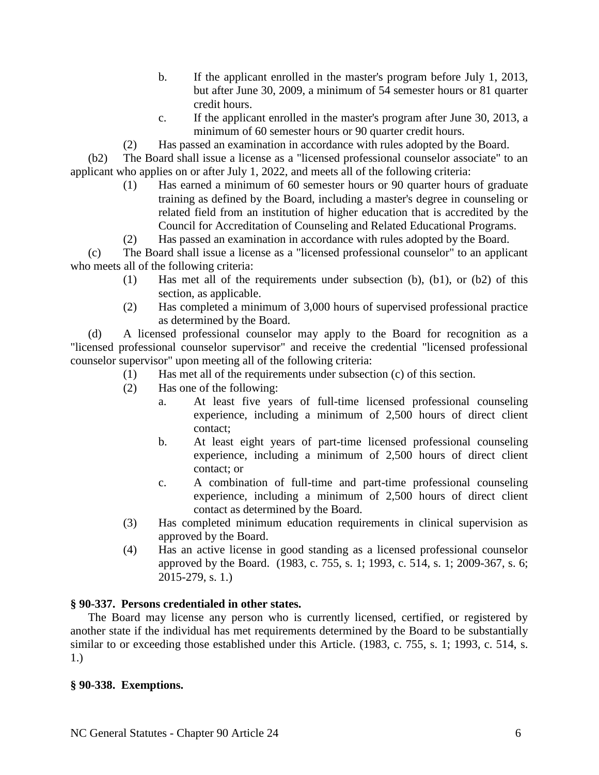- b. If the applicant enrolled in the master's program before July 1, 2013, but after June 30, 2009, a minimum of 54 semester hours or 81 quarter credit hours.
- c. If the applicant enrolled in the master's program after June 30, 2013, a minimum of 60 semester hours or 90 quarter credit hours.
- (2) Has passed an examination in accordance with rules adopted by the Board.

(b2) The Board shall issue a license as a "licensed professional counselor associate" to an applicant who applies on or after July 1, 2022, and meets all of the following criteria:

- (1) Has earned a minimum of 60 semester hours or 90 quarter hours of graduate training as defined by the Board, including a master's degree in counseling or related field from an institution of higher education that is accredited by the Council for Accreditation of Counseling and Related Educational Programs.
- (2) Has passed an examination in accordance with rules adopted by the Board.

(c) The Board shall issue a license as a "licensed professional counselor" to an applicant who meets all of the following criteria:

- (1) Has met all of the requirements under subsection (b), (b1), or (b2) of this section, as applicable.
- (2) Has completed a minimum of 3,000 hours of supervised professional practice as determined by the Board.

(d) A licensed professional counselor may apply to the Board for recognition as a "licensed professional counselor supervisor" and receive the credential "licensed professional counselor supervisor" upon meeting all of the following criteria:

- (1) Has met all of the requirements under subsection (c) of this section.
- (2) Has one of the following:
	- a. At least five years of full-time licensed professional counseling experience, including a minimum of 2,500 hours of direct client contact;
	- b. At least eight years of part-time licensed professional counseling experience, including a minimum of 2,500 hours of direct client contact; or
	- c. A combination of full-time and part-time professional counseling experience, including a minimum of 2,500 hours of direct client contact as determined by the Board.
- (3) Has completed minimum education requirements in clinical supervision as approved by the Board.
- (4) Has an active license in good standing as a licensed professional counselor approved by the Board. (1983, c. 755, s. 1; 1993, c. 514, s. 1; 2009-367, s. 6; 2015-279, s. 1.)

## **§ 90-337. Persons credentialed in other states.**

The Board may license any person who is currently licensed, certified, or registered by another state if the individual has met requirements determined by the Board to be substantially similar to or exceeding those established under this Article. (1983, c. 755, s. 1; 1993, c. 514, s. 1.)

## **§ 90-338. Exemptions.**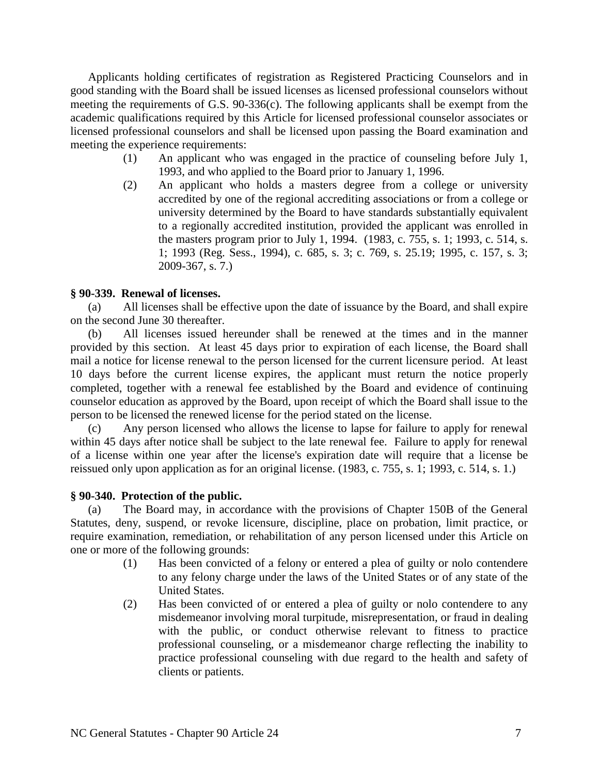Applicants holding certificates of registration as Registered Practicing Counselors and in good standing with the Board shall be issued licenses as licensed professional counselors without meeting the requirements of G.S. 90-336(c). The following applicants shall be exempt from the academic qualifications required by this Article for licensed professional counselor associates or licensed professional counselors and shall be licensed upon passing the Board examination and meeting the experience requirements:

- (1) An applicant who was engaged in the practice of counseling before July 1, 1993, and who applied to the Board prior to January 1, 1996.
- (2) An applicant who holds a masters degree from a college or university accredited by one of the regional accrediting associations or from a college or university determined by the Board to have standards substantially equivalent to a regionally accredited institution, provided the applicant was enrolled in the masters program prior to July 1, 1994. (1983, c. 755, s. 1; 1993, c. 514, s. 1; 1993 (Reg. Sess., 1994), c. 685, s. 3; c. 769, s. 25.19; 1995, c. 157, s. 3; 2009-367, s. 7.)

#### **§ 90-339. Renewal of licenses.**

(a) All licenses shall be effective upon the date of issuance by the Board, and shall expire on the second June 30 thereafter.

(b) All licenses issued hereunder shall be renewed at the times and in the manner provided by this section. At least 45 days prior to expiration of each license, the Board shall mail a notice for license renewal to the person licensed for the current licensure period. At least 10 days before the current license expires, the applicant must return the notice properly completed, together with a renewal fee established by the Board and evidence of continuing counselor education as approved by the Board, upon receipt of which the Board shall issue to the person to be licensed the renewed license for the period stated on the license.

(c) Any person licensed who allows the license to lapse for failure to apply for renewal within 45 days after notice shall be subject to the late renewal fee. Failure to apply for renewal of a license within one year after the license's expiration date will require that a license be reissued only upon application as for an original license. (1983, c. 755, s. 1; 1993, c. 514, s. 1.)

#### **§ 90-340. Protection of the public.**

(a) The Board may, in accordance with the provisions of Chapter 150B of the General Statutes, deny, suspend, or revoke licensure, discipline, place on probation, limit practice, or require examination, remediation, or rehabilitation of any person licensed under this Article on one or more of the following grounds:

- (1) Has been convicted of a felony or entered a plea of guilty or nolo contendere to any felony charge under the laws of the United States or of any state of the United States.
- (2) Has been convicted of or entered a plea of guilty or nolo contendere to any misdemeanor involving moral turpitude, misrepresentation, or fraud in dealing with the public, or conduct otherwise relevant to fitness to practice professional counseling, or a misdemeanor charge reflecting the inability to practice professional counseling with due regard to the health and safety of clients or patients.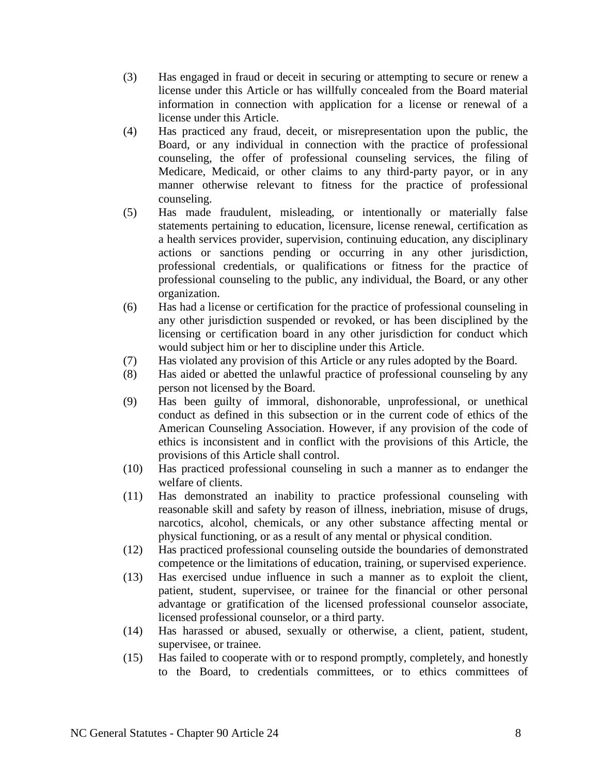- (3) Has engaged in fraud or deceit in securing or attempting to secure or renew a license under this Article or has willfully concealed from the Board material information in connection with application for a license or renewal of a license under this Article.
- (4) Has practiced any fraud, deceit, or misrepresentation upon the public, the Board, or any individual in connection with the practice of professional counseling, the offer of professional counseling services, the filing of Medicare, Medicaid, or other claims to any third-party payor, or in any manner otherwise relevant to fitness for the practice of professional counseling.
- (5) Has made fraudulent, misleading, or intentionally or materially false statements pertaining to education, licensure, license renewal, certification as a health services provider, supervision, continuing education, any disciplinary actions or sanctions pending or occurring in any other jurisdiction, professional credentials, or qualifications or fitness for the practice of professional counseling to the public, any individual, the Board, or any other organization.
- (6) Has had a license or certification for the practice of professional counseling in any other jurisdiction suspended or revoked, or has been disciplined by the licensing or certification board in any other jurisdiction for conduct which would subject him or her to discipline under this Article.
- (7) Has violated any provision of this Article or any rules adopted by the Board.
- (8) Has aided or abetted the unlawful practice of professional counseling by any person not licensed by the Board.
- (9) Has been guilty of immoral, dishonorable, unprofessional, or unethical conduct as defined in this subsection or in the current code of ethics of the American Counseling Association. However, if any provision of the code of ethics is inconsistent and in conflict with the provisions of this Article, the provisions of this Article shall control.
- (10) Has practiced professional counseling in such a manner as to endanger the welfare of clients.
- (11) Has demonstrated an inability to practice professional counseling with reasonable skill and safety by reason of illness, inebriation, misuse of drugs, narcotics, alcohol, chemicals, or any other substance affecting mental or physical functioning, or as a result of any mental or physical condition.
- (12) Has practiced professional counseling outside the boundaries of demonstrated competence or the limitations of education, training, or supervised experience.
- (13) Has exercised undue influence in such a manner as to exploit the client, patient, student, supervisee, or trainee for the financial or other personal advantage or gratification of the licensed professional counselor associate, licensed professional counselor, or a third party.
- (14) Has harassed or abused, sexually or otherwise, a client, patient, student, supervisee, or trainee.
- (15) Has failed to cooperate with or to respond promptly, completely, and honestly to the Board, to credentials committees, or to ethics committees of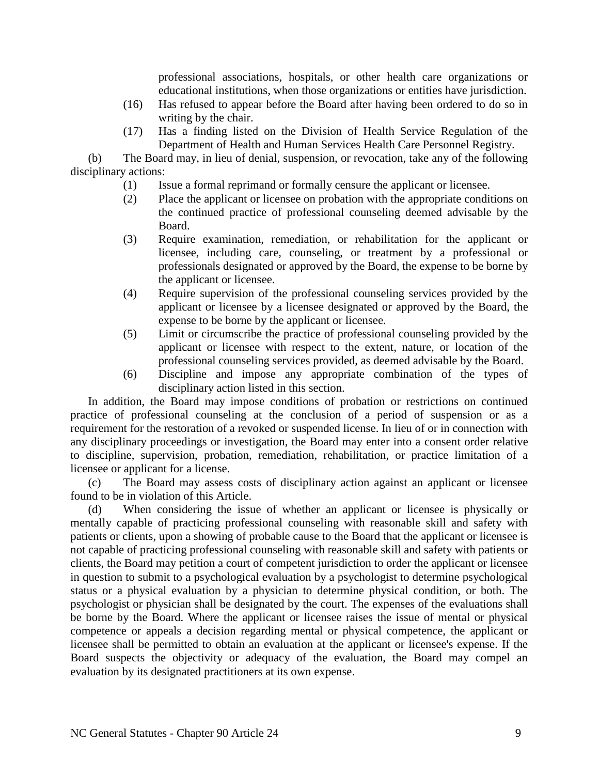professional associations, hospitals, or other health care organizations or educational institutions, when those organizations or entities have jurisdiction.

- (16) Has refused to appear before the Board after having been ordered to do so in writing by the chair.
- (17) Has a finding listed on the Division of Health Service Regulation of the Department of Health and Human Services Health Care Personnel Registry.

(b) The Board may, in lieu of denial, suspension, or revocation, take any of the following disciplinary actions:

- (1) Issue a formal reprimand or formally censure the applicant or licensee.
- (2) Place the applicant or licensee on probation with the appropriate conditions on the continued practice of professional counseling deemed advisable by the Board.
- (3) Require examination, remediation, or rehabilitation for the applicant or licensee, including care, counseling, or treatment by a professional or professionals designated or approved by the Board, the expense to be borne by the applicant or licensee.
- (4) Require supervision of the professional counseling services provided by the applicant or licensee by a licensee designated or approved by the Board, the expense to be borne by the applicant or licensee.
- (5) Limit or circumscribe the practice of professional counseling provided by the applicant or licensee with respect to the extent, nature, or location of the professional counseling services provided, as deemed advisable by the Board.
- (6) Discipline and impose any appropriate combination of the types of disciplinary action listed in this section.

In addition, the Board may impose conditions of probation or restrictions on continued practice of professional counseling at the conclusion of a period of suspension or as a requirement for the restoration of a revoked or suspended license. In lieu of or in connection with any disciplinary proceedings or investigation, the Board may enter into a consent order relative to discipline, supervision, probation, remediation, rehabilitation, or practice limitation of a licensee or applicant for a license.

(c) The Board may assess costs of disciplinary action against an applicant or licensee found to be in violation of this Article.

(d) When considering the issue of whether an applicant or licensee is physically or mentally capable of practicing professional counseling with reasonable skill and safety with patients or clients, upon a showing of probable cause to the Board that the applicant or licensee is not capable of practicing professional counseling with reasonable skill and safety with patients or clients, the Board may petition a court of competent jurisdiction to order the applicant or licensee in question to submit to a psychological evaluation by a psychologist to determine psychological status or a physical evaluation by a physician to determine physical condition, or both. The psychologist or physician shall be designated by the court. The expenses of the evaluations shall be borne by the Board. Where the applicant or licensee raises the issue of mental or physical competence or appeals a decision regarding mental or physical competence, the applicant or licensee shall be permitted to obtain an evaluation at the applicant or licensee's expense. If the Board suspects the objectivity or adequacy of the evaluation, the Board may compel an evaluation by its designated practitioners at its own expense.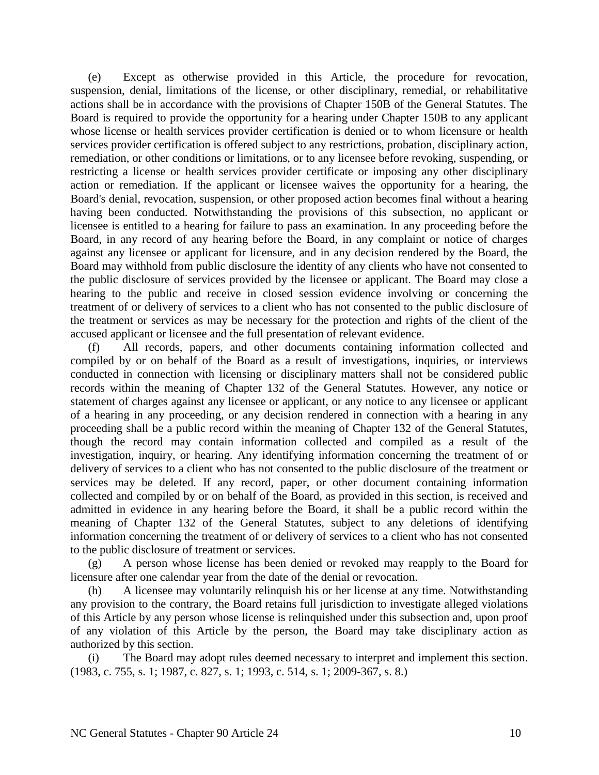(e) Except as otherwise provided in this Article, the procedure for revocation, suspension, denial, limitations of the license, or other disciplinary, remedial, or rehabilitative actions shall be in accordance with the provisions of Chapter 150B of the General Statutes. The Board is required to provide the opportunity for a hearing under Chapter 150B to any applicant whose license or health services provider certification is denied or to whom licensure or health services provider certification is offered subject to any restrictions, probation, disciplinary action, remediation, or other conditions or limitations, or to any licensee before revoking, suspending, or restricting a license or health services provider certificate or imposing any other disciplinary action or remediation. If the applicant or licensee waives the opportunity for a hearing, the Board's denial, revocation, suspension, or other proposed action becomes final without a hearing having been conducted. Notwithstanding the provisions of this subsection, no applicant or licensee is entitled to a hearing for failure to pass an examination. In any proceeding before the Board, in any record of any hearing before the Board, in any complaint or notice of charges against any licensee or applicant for licensure, and in any decision rendered by the Board, the Board may withhold from public disclosure the identity of any clients who have not consented to the public disclosure of services provided by the licensee or applicant. The Board may close a hearing to the public and receive in closed session evidence involving or concerning the treatment of or delivery of services to a client who has not consented to the public disclosure of the treatment or services as may be necessary for the protection and rights of the client of the accused applicant or licensee and the full presentation of relevant evidence.

All records, papers, and other documents containing information collected and compiled by or on behalf of the Board as a result of investigations, inquiries, or interviews conducted in connection with licensing or disciplinary matters shall not be considered public records within the meaning of Chapter 132 of the General Statutes. However, any notice or statement of charges against any licensee or applicant, or any notice to any licensee or applicant of a hearing in any proceeding, or any decision rendered in connection with a hearing in any proceeding shall be a public record within the meaning of Chapter 132 of the General Statutes, though the record may contain information collected and compiled as a result of the investigation, inquiry, or hearing. Any identifying information concerning the treatment of or delivery of services to a client who has not consented to the public disclosure of the treatment or services may be deleted. If any record, paper, or other document containing information collected and compiled by or on behalf of the Board, as provided in this section, is received and admitted in evidence in any hearing before the Board, it shall be a public record within the meaning of Chapter 132 of the General Statutes, subject to any deletions of identifying information concerning the treatment of or delivery of services to a client who has not consented to the public disclosure of treatment or services.

(g) A person whose license has been denied or revoked may reapply to the Board for licensure after one calendar year from the date of the denial or revocation.

(h) A licensee may voluntarily relinquish his or her license at any time. Notwithstanding any provision to the contrary, the Board retains full jurisdiction to investigate alleged violations of this Article by any person whose license is relinquished under this subsection and, upon proof of any violation of this Article by the person, the Board may take disciplinary action as authorized by this section.

(i) The Board may adopt rules deemed necessary to interpret and implement this section. (1983, c. 755, s. 1; 1987, c. 827, s. 1; 1993, c. 514, s. 1; 2009-367, s. 8.)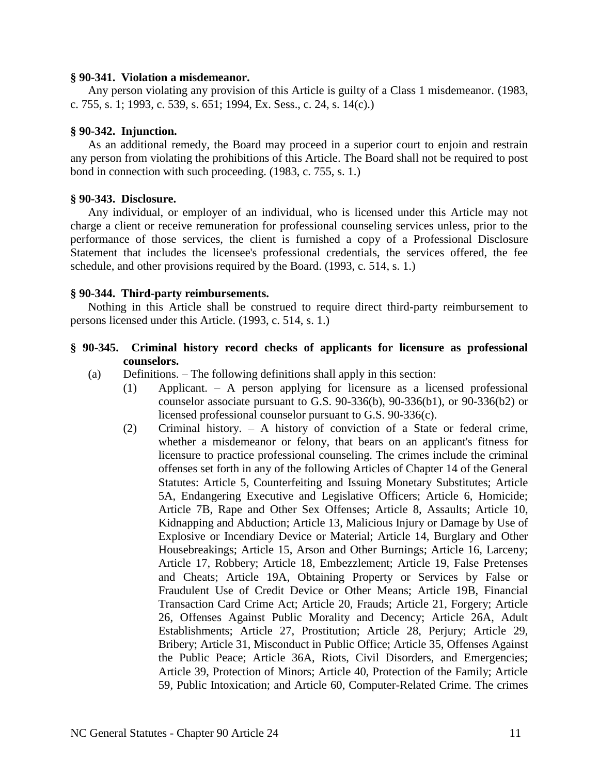#### **§ 90-341. Violation a misdemeanor.**

Any person violating any provision of this Article is guilty of a Class 1 misdemeanor. (1983, c. 755, s. 1; 1993, c. 539, s. 651; 1994, Ex. Sess., c. 24, s. 14(c).)

## **§ 90-342. Injunction.**

As an additional remedy, the Board may proceed in a superior court to enjoin and restrain any person from violating the prohibitions of this Article. The Board shall not be required to post bond in connection with such proceeding. (1983, c. 755, s. 1.)

## **§ 90-343. Disclosure.**

Any individual, or employer of an individual, who is licensed under this Article may not charge a client or receive remuneration for professional counseling services unless, prior to the performance of those services, the client is furnished a copy of a Professional Disclosure Statement that includes the licensee's professional credentials, the services offered, the fee schedule, and other provisions required by the Board. (1993, c. 514, s. 1.)

# **§ 90-344. Third-party reimbursements.**

Nothing in this Article shall be construed to require direct third-party reimbursement to persons licensed under this Article. (1993, c. 514, s. 1.)

# **§ 90-345. Criminal history record checks of applicants for licensure as professional counselors.**

(a) Definitions. – The following definitions shall apply in this section:

- (1) Applicant. A person applying for licensure as a licensed professional counselor associate pursuant to G.S.  $90-336(b)$ ,  $90-336(b1)$ , or  $90-336(b2)$  or licensed professional counselor pursuant to G.S. 90-336(c).
- (2) Criminal history. A history of conviction of a State or federal crime, whether a misdemeanor or felony, that bears on an applicant's fitness for licensure to practice professional counseling. The crimes include the criminal offenses set forth in any of the following Articles of Chapter 14 of the General Statutes: Article 5, Counterfeiting and Issuing Monetary Substitutes; Article 5A, Endangering Executive and Legislative Officers; Article 6, Homicide; Article 7B, Rape and Other Sex Offenses; Article 8, Assaults; Article 10, Kidnapping and Abduction; Article 13, Malicious Injury or Damage by Use of Explosive or Incendiary Device or Material; Article 14, Burglary and Other Housebreakings; Article 15, Arson and Other Burnings; Article 16, Larceny; Article 17, Robbery; Article 18, Embezzlement; Article 19, False Pretenses and Cheats; Article 19A, Obtaining Property or Services by False or Fraudulent Use of Credit Device or Other Means; Article 19B, Financial Transaction Card Crime Act; Article 20, Frauds; Article 21, Forgery; Article 26, Offenses Against Public Morality and Decency; Article 26A, Adult Establishments; Article 27, Prostitution; Article 28, Perjury; Article 29, Bribery; Article 31, Misconduct in Public Office; Article 35, Offenses Against the Public Peace; Article 36A, Riots, Civil Disorders, and Emergencies; Article 39, Protection of Minors; Article 40, Protection of the Family; Article 59, Public Intoxication; and Article 60, Computer-Related Crime. The crimes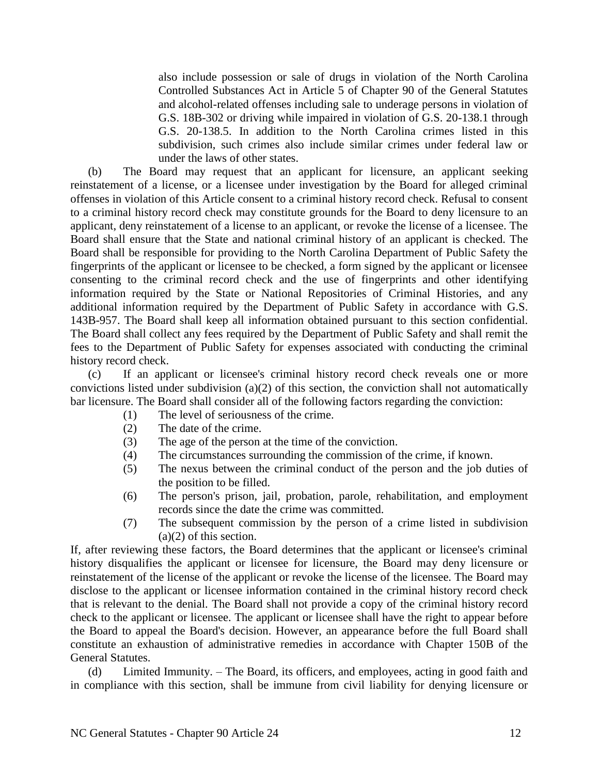also include possession or sale of drugs in violation of the North Carolina Controlled Substances Act in Article 5 of Chapter 90 of the General Statutes and alcohol-related offenses including sale to underage persons in violation of G.S. 18B-302 or driving while impaired in violation of G.S. 20-138.1 through G.S. 20-138.5. In addition to the North Carolina crimes listed in this subdivision, such crimes also include similar crimes under federal law or under the laws of other states.

(b) The Board may request that an applicant for licensure, an applicant seeking reinstatement of a license, or a licensee under investigation by the Board for alleged criminal offenses in violation of this Article consent to a criminal history record check. Refusal to consent to a criminal history record check may constitute grounds for the Board to deny licensure to an applicant, deny reinstatement of a license to an applicant, or revoke the license of a licensee. The Board shall ensure that the State and national criminal history of an applicant is checked. The Board shall be responsible for providing to the North Carolina Department of Public Safety the fingerprints of the applicant or licensee to be checked, a form signed by the applicant or licensee consenting to the criminal record check and the use of fingerprints and other identifying information required by the State or National Repositories of Criminal Histories, and any additional information required by the Department of Public Safety in accordance with G.S. 143B-957. The Board shall keep all information obtained pursuant to this section confidential. The Board shall collect any fees required by the Department of Public Safety and shall remit the fees to the Department of Public Safety for expenses associated with conducting the criminal history record check.

(c) If an applicant or licensee's criminal history record check reveals one or more convictions listed under subdivision (a)(2) of this section, the conviction shall not automatically bar licensure. The Board shall consider all of the following factors regarding the conviction:

- (1) The level of seriousness of the crime.
- (2) The date of the crime.
- (3) The age of the person at the time of the conviction.
- (4) The circumstances surrounding the commission of the crime, if known.
- (5) The nexus between the criminal conduct of the person and the job duties of the position to be filled.
- (6) The person's prison, jail, probation, parole, rehabilitation, and employment records since the date the crime was committed.
- (7) The subsequent commission by the person of a crime listed in subdivision (a)(2) of this section.

If, after reviewing these factors, the Board determines that the applicant or licensee's criminal history disqualifies the applicant or licensee for licensure, the Board may deny licensure or reinstatement of the license of the applicant or revoke the license of the licensee. The Board may disclose to the applicant or licensee information contained in the criminal history record check that is relevant to the denial. The Board shall not provide a copy of the criminal history record check to the applicant or licensee. The applicant or licensee shall have the right to appear before the Board to appeal the Board's decision. However, an appearance before the full Board shall constitute an exhaustion of administrative remedies in accordance with Chapter 150B of the General Statutes.

(d) Limited Immunity. – The Board, its officers, and employees, acting in good faith and in compliance with this section, shall be immune from civil liability for denying licensure or